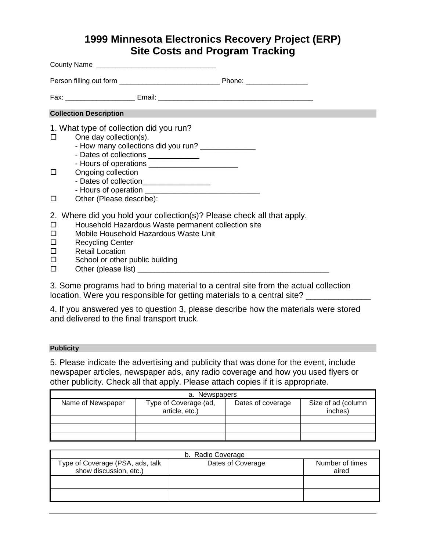# **1999 Minnesota Electronics Recovery Project (ERP) Site Costs and Program Tracking**

| <b>Collection Description</b>                                                                                                                                                                                                                                                                     |  |
|---------------------------------------------------------------------------------------------------------------------------------------------------------------------------------------------------------------------------------------------------------------------------------------------------|--|
| 1. What type of collection did you run?<br>One day collection(s).<br>- How many collections did you run? _______________<br>- Dates of collections _____________                                                                                                                                  |  |
| $\Box$<br>Ongoing collection<br>- Dates of collection.<br>Other (Please describe):<br>□                                                                                                                                                                                                           |  |
| 2. Where did you hold your collection(s)? Please check all that apply.<br>Household Hazardous Waste permanent collection site<br>□<br>Mobile Household Hazardous Waste Unit<br>□<br><b>Recycling Center</b><br>□<br>$\Box$<br><b>Retail Location</b><br>School or other public building<br>□<br>□ |  |

3. Some programs had to bring material to a central site from the actual collection location. Were you responsible for getting materials to a central site?

4. If you answered yes to question 3, please describe how the materials were stored and delivered to the final transport truck.

## **Publicity**

5. Please indicate the advertising and publicity that was done for the event, include newspaper articles, newspaper ads, any radio coverage and how you used flyers or other publicity. Check all that apply. Please attach copies if it is appropriate.

| a. Newspapers     |                       |                   |                    |
|-------------------|-----------------------|-------------------|--------------------|
| Name of Newspaper | Type of Coverage (ad, | Dates of coverage | Size of ad (column |
|                   | article, etc.)        |                   | inches)            |
|                   |                       |                   |                    |
|                   |                       |                   |                    |
|                   |                       |                   |                    |

| b. Radio Coverage                |                   |                 |  |
|----------------------------------|-------------------|-----------------|--|
| Type of Coverage (PSA, ads, talk | Dates of Coverage | Number of times |  |
| show discussion, etc.)           |                   | aired           |  |
|                                  |                   |                 |  |
|                                  |                   |                 |  |
|                                  |                   |                 |  |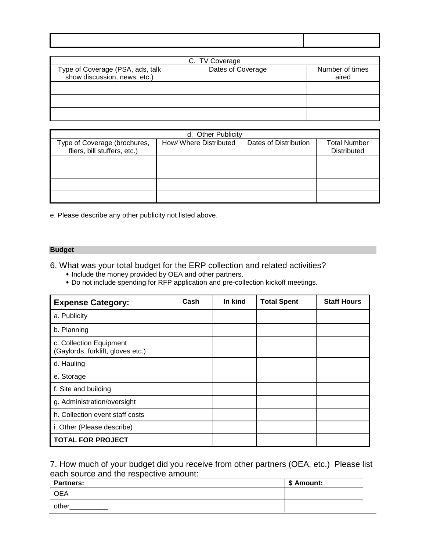| C. TV Coverage                                                   |                   |                          |  |
|------------------------------------------------------------------|-------------------|--------------------------|--|
| Type of Coverage (PSA, ads, talk<br>show discussion, news, etc.) | Dates of Coverage | Number of times<br>aired |  |
|                                                                  |                   |                          |  |
|                                                                  |                   |                          |  |
|                                                                  |                   |                          |  |

| d. Other Publicity                                           |                       |                       |                                           |
|--------------------------------------------------------------|-----------------------|-----------------------|-------------------------------------------|
| Type of Coverage (brochures,<br>fliers, bill stuffers, etc.) | How/Where Distributed | Dates of Distribution | <b>Total Number</b><br><b>Distributed</b> |
|                                                              |                       |                       |                                           |
|                                                              |                       |                       |                                           |
|                                                              |                       |                       |                                           |
|                                                              |                       |                       |                                           |
|                                                              |                       |                       |                                           |

e. Please describe any other publicity not listed above.

#### **Budget**

6. What was your total budget for the ERP collection and related activities?

- $\bullet$  Include the money provided by OEA and other partners.
- " Do not include spending for RFP application and pre-collection kickoff meetings.

| <b>Expense Category:</b>                                     | Cash | In kind | <b>Total Spent</b> | <b>Staff Hours</b> |
|--------------------------------------------------------------|------|---------|--------------------|--------------------|
| a. Publicity                                                 |      |         |                    |                    |
| b. Planning                                                  |      |         |                    |                    |
| c. Collection Equipment<br>(Gaylords, forklift, gloves etc.) |      |         |                    |                    |
| d. Hauling                                                   |      |         |                    |                    |
| e. Storage                                                   |      |         |                    |                    |
| f. Site and building                                         |      |         |                    |                    |
| g. Administration/oversight                                  |      |         |                    |                    |
| h. Collection event staff costs                              |      |         |                    |                    |
| i. Other (Please describe)                                   |      |         |                    |                    |
| <b>TOTAL FOR PROJECT</b>                                     |      |         |                    |                    |

## 7. How much of your budget did you receive from other partners (OEA, etc.) Please list each source and the respective amount:

| <b>Partners:</b> | \$ Amount: |
|------------------|------------|
| <b>OEA</b>       |            |
| other            |            |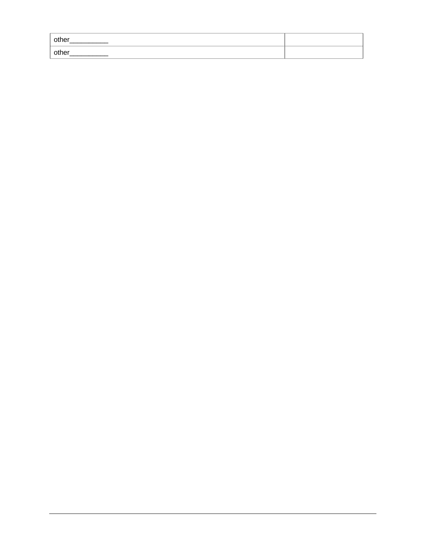| other<br>__ |  |
|-------------|--|